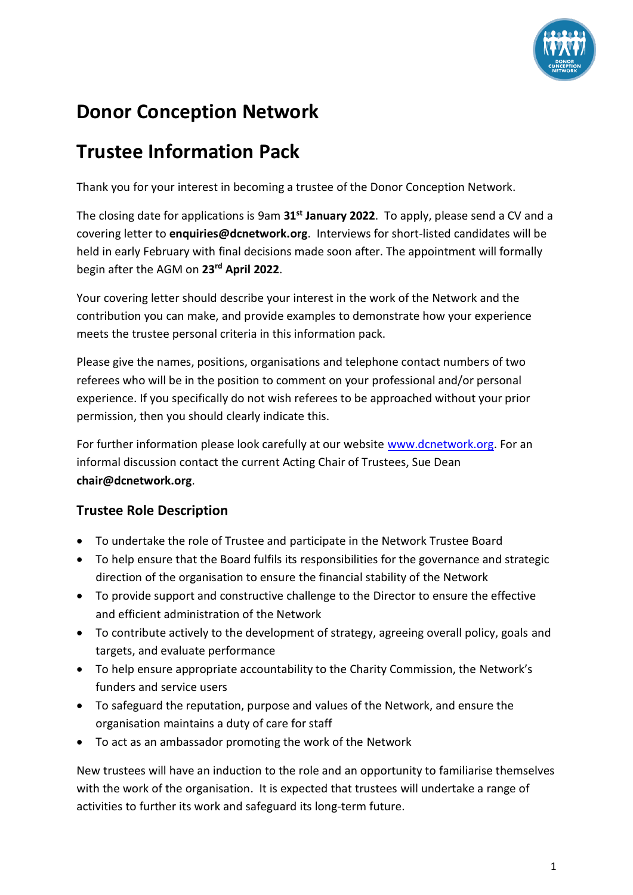

# **Donor Conception Network**

## **Trustee Information Pack**

Thank you for your interest in becoming a trustee of the Donor Conception Network.

The closing date for applications is 9am **31st January 2022**. To apply, please send a CV and a covering letter to **enquiries@dcnetwork.org**. Interviews for short-listed candidates will be held in early February with final decisions made soon after. The appointment will formally begin after the AGM on **23rd April 2022**.

Your covering letter should describe your interest in the work of the Network and the contribution you can make, and provide examples to demonstrate how your experience meets the trustee personal criteria in this information pack.

Please give the names, positions, organisations and telephone contact numbers of two referees who will be in the position to comment on your professional and/or personal experience. If you specifically do not wish referees to be approached without your prior permission, then you should clearly indicate this.

For further information please look carefully at our website [www.dcnetwork.org.](http://www.dcnetwork.org/) For an informal discussion contact the current Acting Chair of Trustees, Sue Dean **chair@dcnetwork.org**.

### **Trustee Role Description**

- To undertake the role of Trustee and participate in the Network Trustee Board
- To help ensure that the Board fulfils its responsibilities for the governance and strategic direction of the organisation to ensure the financial stability of the Network
- To provide support and constructive challenge to the Director to ensure the effective and efficient administration of the Network
- To contribute actively to the development of strategy, agreeing overall policy, goals and targets, and evaluate performance
- To help ensure appropriate accountability to the Charity Commission, the Network's funders and service users
- To safeguard the reputation, purpose and values of the Network, and ensure the organisation maintains a duty of care for staff
- To act as an ambassador promoting the work of the Network

New trustees will have an induction to the role and an opportunity to familiarise themselves with the work of the organisation. It is expected that trustees will undertake a range of activities to further its work and safeguard its long-term future.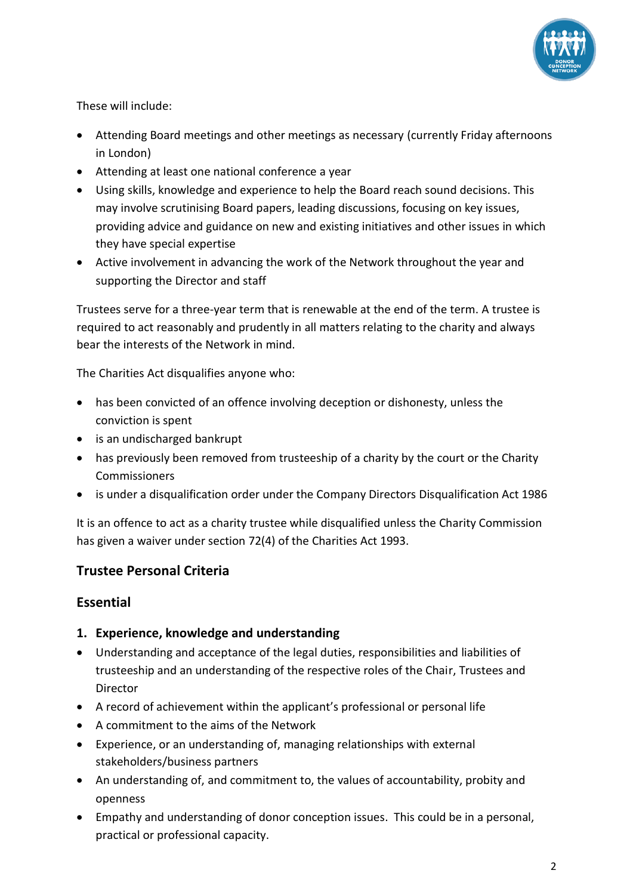

These will include:

- Attending Board meetings and other meetings as necessary (currently Friday afternoons in London)
- Attending at least one national conference a year
- Using skills, knowledge and experience to help the Board reach sound decisions. This may involve scrutinising Board papers, leading discussions, focusing on key issues, providing advice and guidance on new and existing initiatives and other issues in which they have special expertise
- Active involvement in advancing the work of the Network throughout the year and supporting the Director and staff

Trustees serve for a three-year term that is renewable at the end of the term. A trustee is required to act reasonably and prudently in all matters relating to the charity and always bear the interests of the Network in mind.

The Charities Act disqualifies anyone who:

- has been convicted of an offence involving deception or dishonesty, unless the conviction is spent
- is an undischarged bankrupt
- has previously been removed from trusteeship of a charity by the court or the Charity **Commissioners**
- is under a disqualification order under the Company Directors Disqualification Act 1986

It is an offence to act as a charity trustee while disqualified unless the Charity Commission has given a waiver under section 72(4) of the Charities Act 1993.

#### **Trustee Personal Criteria**

#### **Essential**

- **1. Experience, knowledge and understanding**
- Understanding and acceptance of the legal duties, responsibilities and liabilities of trusteeship and an understanding of the respective roles of the Chair, Trustees and Director
- A record of achievement within the applicant's professional or personal life
- A commitment to the aims of the Network
- Experience, or an understanding of, managing relationships with external stakeholders/business partners
- An understanding of, and commitment to, the values of accountability, probity and openness
- Empathy and understanding of donor conception issues. This could be in a personal, practical or professional capacity.